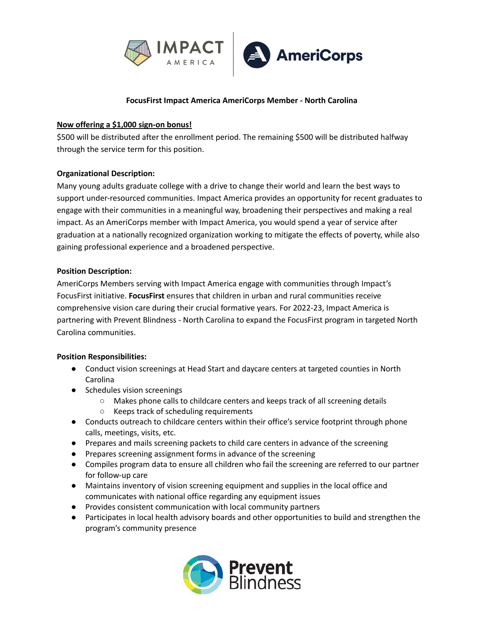

### **FocusFirst Impact America AmeriCorps Member - North Carolina**

### **Now offering a \$1,000 sign-on bonus!**

\$500 will be distributed after the enrollment period. The remaining \$500 will be distributed halfway through the service term for this position.

## **Organizational Description:**

Many young adults graduate college with a drive to change their world and learn the best ways to support under-resourced communities. Impact America provides an opportunity for recent graduates to engage with their communities in a meaningful way, broadening their perspectives and making a real impact. As an AmeriCorps member with Impact America, you would spend a year of service after graduation at a nationally recognized organization working to mitigate the effects of poverty, while also gaining professional experience and a broadened perspective.

## **Position Description:**

AmeriCorps Members serving with Impact America engage with communities through Impact's FocusFirst initiative. **FocusFirst** ensures that children in urban and rural communities receive comprehensive vision care during their crucial formative years. For 2022-23, Impact America is partnering with Prevent Blindness - North Carolina to expand the FocusFirst program in targeted North Carolina communities.

### **Position Responsibilities:**

- Conduct vision screenings at Head Start and daycare centers at targeted counties in North Carolina
- Schedules vision screenings
	- Makes phone calls to childcare centers and keeps track of all screening details
	- Keeps track of scheduling requirements
- Conducts outreach to childcare centers within their office's service footprint through phone calls, meetings, visits, etc.
- Prepares and mails screening packets to child care centers in advance of the screening
- Prepares screening assignment forms in advance of the screening
- Compiles program data to ensure all children who fail the screening are referred to our partner for follow-up care
- Maintains inventory of vision screening equipment and supplies in the local office and communicates with national office regarding any equipment issues
- Provides consistent communication with local community partners
- Participates in local health advisory boards and other opportunities to build and strengthen the program's community presence

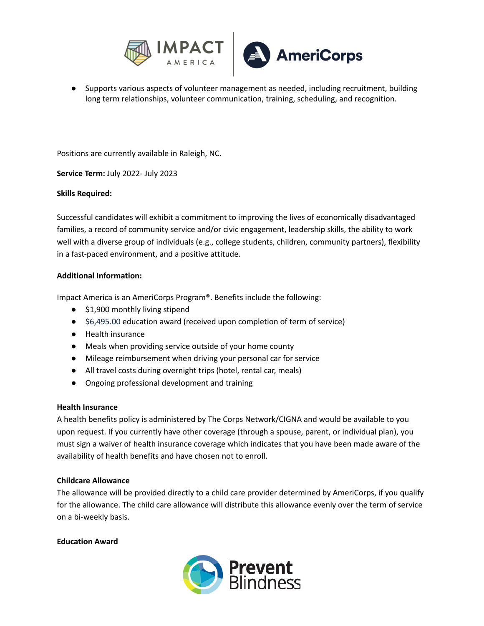

● Supports various aspects of volunteer management as needed, including recruitment, building long term relationships, volunteer communication, training, scheduling, and recognition.

Positions are currently available in Raleigh, NC.

**Service Term:** July 2022- July 2023

### **Skills Required:**

Successful candidates will exhibit a commitment to improving the lives of economically disadvantaged families, a record of community service and/or civic engagement, leadership skills, the ability to work well with a diverse group of individuals (e.g., college students, children, community partners), flexibility in a fast-paced environment, and a positive attitude.

### **Additional Information:**

Impact America is an AmeriCorps Program®. Benefits include the following:

- \$1,900 monthly living stipend
- \$6,495.00 education award (received upon completion of term of service)
- Health insurance
- Meals when providing service outside of your home county
- Mileage reimbursement when driving your personal car for service
- All travel costs during overnight trips (hotel, rental car, meals)
- Ongoing professional development and training

#### **Health Insurance**

A health benefits policy is administered by The Corps Network/CIGNA and would be available to you upon request. If you currently have other coverage (through a spouse, parent, or individual plan), you must sign a waiver of health insurance coverage which indicates that you have been made aware of the availability of health benefits and have chosen not to enroll.

### **Childcare Allowance**

The allowance will be provided directly to a child care provider determined by AmeriCorps, if you qualify for the allowance. The child care allowance will distribute this allowance evenly over the term of service on a bi-weekly basis.

### **Education Award**